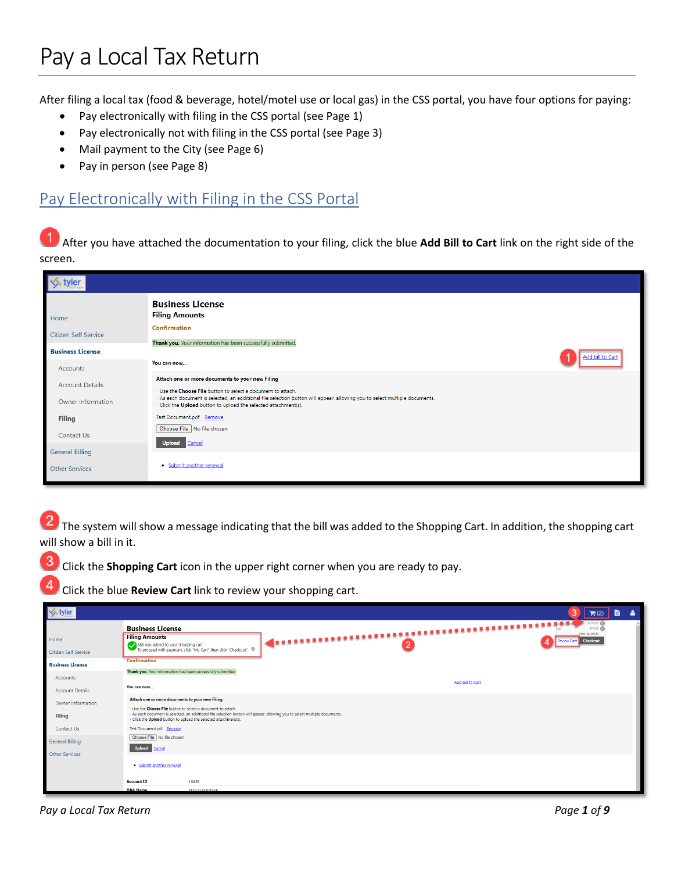# Pay a Local Tax Return

After filing a local tax (food & beverage, hotel/motel use or local gas) in the CSS portal, you have four options for paying:

- Pay electronically with filing in the CSS portal (see Page 1)
- Pay electronically not with filing in the CSS portal (see Page 3)
- Mail payment to the City (see Page 6)
- Pay in person (see Page 8)

#### Pay Electronically with Filing in the CSS Portal

After you have attached the documentation to your filing, click the blue **Add Bill to Cart** link on the right side of the screen.

| Home                    | <b>Business License</b><br><b>Filing Amounts</b>                                                                                                                                               |
|-------------------------|------------------------------------------------------------------------------------------------------------------------------------------------------------------------------------------------|
| Citizen Self Service    | <b>Confirmation</b>                                                                                                                                                                            |
| <b>Business License</b> | Thank you. Your information has been successfully submitted.                                                                                                                                   |
| Accounts                | Add bill to Cart<br>You can now                                                                                                                                                                |
| <b>Account Details</b>  | Attach one or more documents to your new Filing<br>- Use the Choose File button to select a document to attach.                                                                                |
| Owner Information       | - As each document is selected, an additional file selection button will appear, allowing you to select multiple documents.<br>- Click the Upload button to upload the selected attachment(s). |
| <b>Filing</b>           | Test Document.pdf Remove                                                                                                                                                                       |
| Contact Us              | Choose File   No file chosen<br>Upload Cancel                                                                                                                                                  |
| <b>General Billing</b>  |                                                                                                                                                                                                |
| <b>Other Services</b>   | · Submit another renewal                                                                                                                                                                       |

The system will show a message indicating that the bill was added to the Shopping Cart. In addition, the shopping cart will show a bill in it.

Click the **Shopping Cart** icon in the upper right corner when you are ready to pay.

Click the blue **Review Cart** link to review your shopping cart.

| S tyler ↓                                                                         |                                                                                                                                                                                                                               |                                                                                                         |                                                                                                                             |                  | 3<br>Δ<br>$\mathbb{H}(2)$                                              |
|-----------------------------------------------------------------------------------|-------------------------------------------------------------------------------------------------------------------------------------------------------------------------------------------------------------------------------|---------------------------------------------------------------------------------------------------------|-----------------------------------------------------------------------------------------------------------------------------|------------------|------------------------------------------------------------------------|
| Home<br><b>Citizen Self Service</b>                                               | <b>Business License</b><br><b>Filing Amounts</b>                                                                                                                                                                              | 588 was added to your shopping cart.<br>To proceed with payment, click "My Cart" then click "Checkout". |                                                                                                                             |                  | \$1,706.25 (6)<br>\$614.00 000<br>Total: \$2,320.33<br><b>Checkout</b> |
| <b>Business License</b><br><b>Accounts</b>                                        | <b>Confirmation</b><br>Thank you. Your information has been successfully submitted.                                                                                                                                           |                                                                                                         |                                                                                                                             |                  |                                                                        |
| <b>Account Details</b><br>Owner Information<br><b>Filing</b><br><b>Contact Us</b> | You can now<br>Attach one or more documents to your new Filing<br>- Use the Choose File button to select a document to attach.<br>- Click the Upload button to upload the selected attachment(s).<br>Test Document.pdf Remove |                                                                                                         | - As each document is selected, an additional file selection button will appear, allowing you to select multiple documents. | Add bill to Cart |                                                                        |
| <b>General Billing</b><br>Other Services                                          | Choose File   No file chosen<br>Upload Cancel<br>· Submit another renewal                                                                                                                                                     |                                                                                                         |                                                                                                                             |                  |                                                                        |
|                                                                                   | <b>Account ID</b><br><b>DBA Name</b>                                                                                                                                                                                          | 10438<br><b>TEST CUSTOMER</b>                                                                           |                                                                                                                             |                  |                                                                        |

*Pay a Local Tax Return Page 1 of 9*

3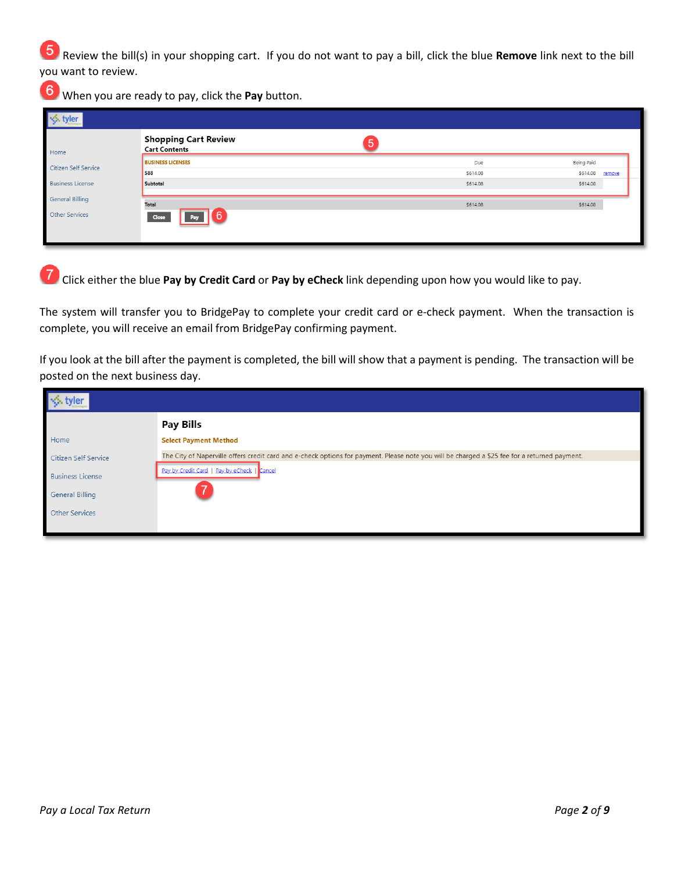Review the bill(s) in your shopping cart. If you do not want to pay a bill, click the blue **Remove** link next to the bill you want to review.

When you are ready to pay, click the **Pay** button.

| tyler                   |                                                     |          |                    |
|-------------------------|-----------------------------------------------------|----------|--------------------|
| Home                    | <b>Shopping Cart Review</b><br><b>Cart Contents</b> | 5        |                    |
| Citizen Self Service    | <b>BUSINESS LICENSES</b>                            | Due      | Being Paid         |
|                         | 588                                                 | \$614.08 | \$614.08<br>remove |
| <b>Business License</b> | Subtotal                                            | \$614.08 | \$614.08           |
| <b>General Billing</b>  | Total                                               | \$614.08 | \$614.08           |
| <b>Other Services</b>   | 6<br>Close<br>Pay                                   |          |                    |
|                         |                                                     |          |                    |
|                         |                                                     |          |                    |

Click either the blue **Pay by Credit Card** or **Pay by eCheck** link depending upon how you would like to pay.

The system will transfer you to BridgePay to complete your credit card or e-check payment. When the transaction is complete, you will receive an email from BridgePay confirming payment.

If you look at the bill after the payment is completed, the bill will show that a payment is pending. The transaction will be posted on the next business day.

|                         | Pay Bills                                                                                                                                     |
|-------------------------|-----------------------------------------------------------------------------------------------------------------------------------------------|
| Home                    | <b>Select Payment Method</b>                                                                                                                  |
| Citizen Self Service    | The City of Naperville offers credit card and e-check options for payment. Please note you will be charged a \$25 fee for a returned payment. |
| <b>Business License</b> | Pay by Credit Card   Pay by eCheck   Cancel                                                                                                   |
| General Billing         |                                                                                                                                               |
| <b>Other Services</b>   |                                                                                                                                               |
|                         |                                                                                                                                               |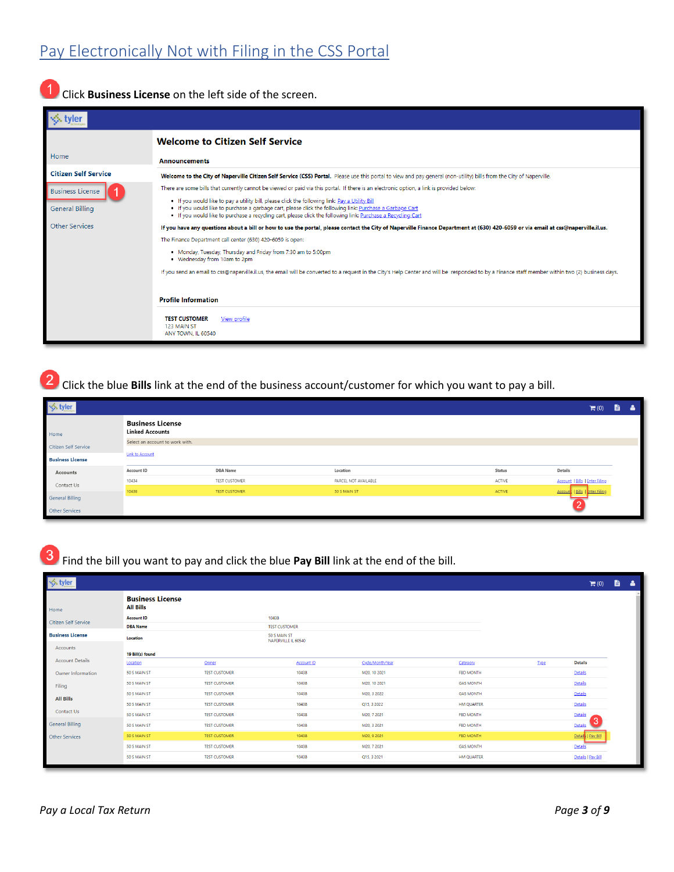## Pay Electronically Not with Filing in the CSS Portal

Click **Business License** on the left side of the screen.

|                             | <b>Welcome to Citizen Self Service</b>                                                                                                                                                                                                                                                                                     |
|-----------------------------|----------------------------------------------------------------------------------------------------------------------------------------------------------------------------------------------------------------------------------------------------------------------------------------------------------------------------|
| Home                        | <b>Announcements</b>                                                                                                                                                                                                                                                                                                       |
| <b>Citizen Self Service</b> | Welcome to the City of Naperville Citizen Self Service (CSS) Portal. Please use this portal to view and pay general (non-utility) bills from the City of Naperville.                                                                                                                                                       |
| <b>Business License</b>     | There are some bills that currently cannot be viewed or paid via this portal. If there is an electronic option, a link is provided below:                                                                                                                                                                                  |
| <b>General Billing</b>      | . If you would like to pay a utility bill, please click the following link: Pay a Utility Bill<br>. If you would like to purchase a garbage cart, please click the following link: Purchase a Garbage Cart<br>. If you would like to purchase a recycling cart, please click the following link: Purchase a Recycling Cart |
| <b>Other Services</b>       | If you have any questions about a bill or how to use the portal, please contact the City of Naperville Finance Department at (630) 420-6059 or via email at css@naperville.il.us.                                                                                                                                          |
|                             | The Finance Department call center (630) 420-6059 is open:                                                                                                                                                                                                                                                                 |
|                             | . Monday, Tuesday, Thursday and Friday from 7:30 am to 5:00pm<br>• Wednesday from 10am to 2pm                                                                                                                                                                                                                              |
|                             | If you send an email to css@naperville.il.us, the email will be converted to a request in the City's Help Center and will be responded to by a Finance staff member within two (2) business days.                                                                                                                          |
|                             | <b>Profile Information</b>                                                                                                                                                                                                                                                                                                 |
|                             | <b>TEST CUSTOMER</b><br>View profile<br>123 MAIN ST<br>ANY TOWN. IL 60540                                                                                                                                                                                                                                                  |

Click the blue **Bills** link at the end of the business account/customer for which you want to pay a bill.

| <b>S</b> tyler          |                                                   |                      |                      |        | $\blacksquare$ (0)                    | b. | δ |
|-------------------------|---------------------------------------------------|----------------------|----------------------|--------|---------------------------------------|----|---|
| Home                    | <b>Business License</b><br><b>Linked Accounts</b> |                      |                      |        |                                       |    |   |
| Citizen Self Service    | Select an account to work with.                   |                      |                      |        |                                       |    |   |
| <b>Business License</b> | <b>Link to Account</b>                            |                      |                      |        |                                       |    |   |
| Accounts                | Account ID                                        | <b>DBA</b> Name      | Location             | Status | Details                               |    |   |
| Contact Us              | 10434                                             | TEST CUSTOMER        | PARCEL NOT AVAILABLE | ACTIVE | <b>Account   Bills   Enter Filing</b> |    |   |
|                         | 10438                                             | <b>TEST CUSTOMER</b> | 50 S MAIN ST         | ACTIVE | Account   Bills   Inter Filing        |    |   |
| General Billing         |                                                   |                      |                      |        |                                       |    |   |
| Other Services          |                                                   |                      |                      |        |                                       |    |   |

Find the bill you want to pay and click the blue **Pay Bill** link at the end of the bill.

| S tyler                     |                                             |                      |                                     |            |                  |                   |      | $\mathbb{H}(0)$    | ê. | $\Delta$ |
|-----------------------------|---------------------------------------------|----------------------|-------------------------------------|------------|------------------|-------------------|------|--------------------|----|----------|
| Home                        | <b>Business License</b><br><b>All Bills</b> |                      |                                     |            |                  |                   |      |                    |    |          |
| <b>Citizen Self Service</b> | <b>Account ID</b>                           |                      | 10438                               |            |                  |                   |      |                    |    |          |
|                             | <b>DBA Name</b>                             |                      | <b>TEST CUSTOMER</b>                |            |                  |                   |      |                    |    |          |
| <b>Business License</b>     | Location                                    |                      | 50 S MAIN ST<br>NAPERVILLE IL 60540 |            |                  |                   |      |                    |    |          |
| Accounts                    |                                             |                      |                                     |            |                  |                   |      |                    |    |          |
|                             | 19 Bill(s) found                            |                      |                                     |            |                  |                   |      |                    |    |          |
| <b>Account Details</b>      | Location                                    | Owner                |                                     | Account ID | Cycle/Month/Year | Category          | Type | <b>Details</b>     |    |          |
| Owner Information           | 50 S MAIN ST                                | <b>TEST CUSTOMER</b> |                                     | 10438      | M20, 10 2021     | <b>FBD MONTH</b>  |      | Details            |    |          |
| Filing                      | 50 S MAIN ST                                | <b>TEST CUSTOMER</b> |                                     | 10438      | M20, 10 2021     | <b>GAS MONTH</b>  |      | Details            |    |          |
| <b>All Bills</b>            | 50 S MAIN ST                                | <b>TEST CUSTOMER</b> |                                     | 10438      | M20, 3 2022      | <b>GAS MONTH</b>  |      | Details            |    |          |
|                             | 50 S MAIN ST                                | <b>TEST CUSTOMER</b> |                                     | 10438      | Q15, 3 2022      | HM QUARTER        |      | Details            |    |          |
| Contact Us                  | 50 S MAIN ST                                | <b>TEST CUSTOMER</b> |                                     | 10438      | M20, 7 2021      | <b>FBD MONTH</b>  |      | Details            |    |          |
| <b>General Billing</b>      | 50 S MAIN ST                                | <b>TEST CUSTOMER</b> |                                     | 10438      | M20, 3 2021      | <b>FBD MONTH</b>  |      | 3<br>Details       |    |          |
| Other Services              | 50 S MAIN ST                                | <b>TEST CUSTOMER</b> |                                     | 10438      | M20, 9 2021      | <b>FBD MONTH</b>  |      | Detail   Pay Bill  |    |          |
|                             | 50 S MAIN ST                                | <b>TEST CUSTOMER</b> |                                     | 10438      | M20, 7 2021      | <b>GAS MONTH</b>  |      | Details            |    |          |
|                             | 50 S MAIN ST                                | <b>TEST CUSTOMER</b> |                                     | 10438      | Q15, 3 2021      | <b>HM QUARTER</b> |      | Details   Pay Bill |    |          |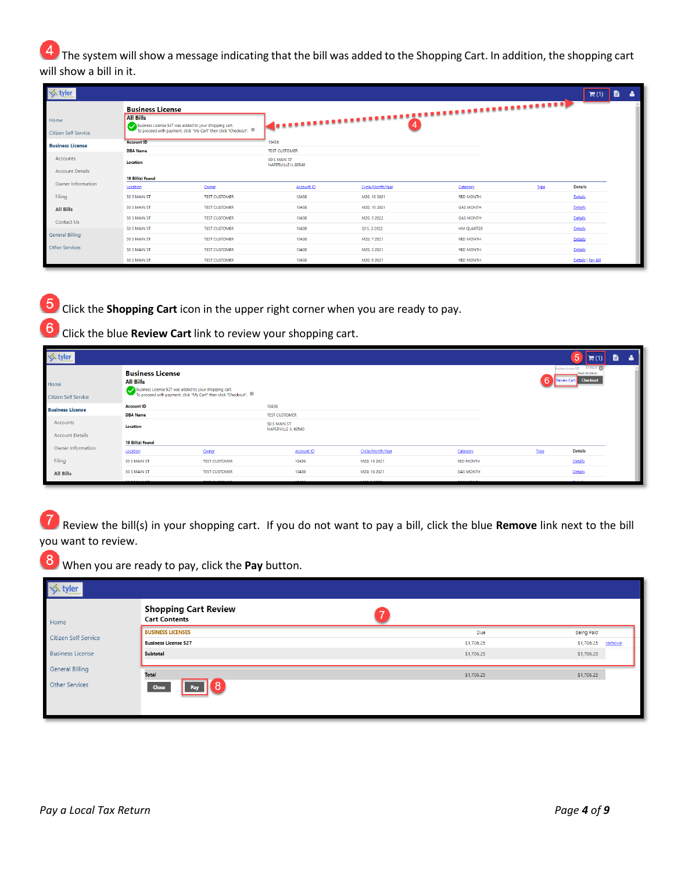The system will show a message indicating that the bill was added to the Shopping Cart. In addition, the shopping cart will show a bill in it.

| <b>√</b> tyler               |                                                                                                                                                                         |                      |                                                             |                   |                                                                                                            |                   |              | $\mathbb{H}(1)$    | 昏<br>$\Delta$ |
|------------------------------|-------------------------------------------------------------------------------------------------------------------------------------------------------------------------|----------------------|-------------------------------------------------------------|-------------------|------------------------------------------------------------------------------------------------------------|-------------------|--------------|--------------------|---------------|
| Home<br>Citizen Self Service | <b>Business License</b><br><b>All Bills</b><br>Business License 527 was added to your shopping cart.<br>To proceed with payment, click "My Cart" then click "Checkout". |                      |                                                             |                   | <b>Express continuously consumers and all the second consumption of the consequence of the consequence</b> |                   |              |                    |               |
| <b>Business License</b>      | <b>Account ID</b><br><b>DBA Name</b>                                                                                                                                    |                      | 10438                                                       |                   |                                                                                                            |                   |              |                    |               |
| Accounts                     | Location                                                                                                                                                                |                      | <b>TEST CUSTOMER</b><br>50 S MAIN ST<br>NAPERVILLE IL 60540 |                   |                                                                                                            |                   |              |                    |               |
| <b>Account Details</b>       | 19 Bill(s) found                                                                                                                                                        |                      |                                                             |                   |                                                                                                            |                   |              |                    |               |
| Owner Information            | Location                                                                                                                                                                | Owner                |                                                             | <b>Account ID</b> | Cycle/Month/Year                                                                                           | Category          | <b>I</b> ype | <b>Details</b>     |               |
| Filing                       | 50 S MAIN ST                                                                                                                                                            | <b>TEST CUSTOMER</b> | 10438                                                       |                   | M20, 10 2021                                                                                               | <b>FBD MONTH</b>  |              | Details            |               |
| <b>All Bills</b>             | 50 S MAIN ST                                                                                                                                                            | <b>TEST CUSTOMER</b> | 10438                                                       |                   | M20, 10 2021                                                                                               | <b>GAS MONTH</b>  |              | Details            |               |
| Contact Us                   | 50 S MAIN ST                                                                                                                                                            | <b>TEST CUSTOMER</b> | 10438                                                       |                   | M20, 3 2022                                                                                                | <b>GAS MONTH</b>  |              | Details            |               |
|                              | 50 S MAIN ST                                                                                                                                                            | <b>TEST CUSTOMER</b> | 10438                                                       |                   | Q15, 3 2022                                                                                                | <b>HM QUARTER</b> |              | Details            |               |
| <b>General Billing</b>       | 50 S MAIN ST                                                                                                                                                            | <b>TEST CUSTOMER</b> | 10438                                                       |                   | M20, 7 2021                                                                                                | <b>FBD MONTH</b>  |              | Details            |               |
| <b>Other Services</b>        | 50 S MAIN ST                                                                                                                                                            | <b>TEST CUSTOMER</b> | 10438                                                       |                   | M20, 3 2021                                                                                                | <b>FBD MONTH</b>  |              | Details            |               |
|                              | 50 S MAIN ST                                                                                                                                                            | <b>TEST CUSTOMER</b> | 10438                                                       |                   | M20, 9 2021                                                                                                | <b>FBD MONTH</b>  |              | Details   Pay Bill |               |

Click the **Shopping Cart** icon in the upper right corner when you are ready to pay.

Click the blue **Review Cart** link to review your shopping cart.

| $\leq$ tyler                        |                                                                                                                                                                              |                         |                      |                   |                  |                    |             | 5                                                                                                 | ê. |  |
|-------------------------------------|------------------------------------------------------------------------------------------------------------------------------------------------------------------------------|-------------------------|----------------------|-------------------|------------------|--------------------|-------------|---------------------------------------------------------------------------------------------------|----|--|
| Home<br><b>Citizen Self Service</b> | <b>Business License</b><br><b>All Bills</b><br>h<br>Business License 527 was added to your shopping cart.<br>To proceed with payment, click "My Cart" then click "Checkout". |                         |                      |                   |                  |                    |             | \$1,706.25 (3)<br><b>Business License 527</b><br>Total: \$1,706.25<br><b>Review Cart Checkout</b> |    |  |
| <b>Business License</b>             | <b>Account ID</b>                                                                                                                                                            | 10438                   |                      |                   |                  |                    |             |                                                                                                   |    |  |
|                                     | <b>DBA Name</b>                                                                                                                                                              |                         | <b>TEST CUSTOMER</b> |                   |                  |                    |             |                                                                                                   |    |  |
| Accounts                            | <b>Location</b>                                                                                                                                                              |                         | 50 S MAIN ST         |                   |                  |                    |             |                                                                                                   |    |  |
| <b>Account Details</b>              |                                                                                                                                                                              |                         | NAPERVILLE IL 60540  |                   |                  |                    |             |                                                                                                   |    |  |
|                                     | 19 Bill(s) found                                                                                                                                                             |                         |                      |                   |                  |                    |             |                                                                                                   |    |  |
| Owner Information                   | Location                                                                                                                                                                     | Owner                   |                      | <b>Account ID</b> | Cycle/Month/Year | Category           | <b>Type</b> | <b>Details</b>                                                                                    |    |  |
| Filing                              | 50 S MAIN ST                                                                                                                                                                 | <b>TEST CUSTOMER</b>    |                      | 10438             | M20, 10 2021     | <b>FBD MONTH</b>   |             | Details                                                                                           |    |  |
| All Bills                           | 50 S MAIN ST                                                                                                                                                                 | <b>TEST CUSTOMER</b>    |                      | 10438             | M20, 10 2021     | <b>GAS MONTH</b>   |             | Details                                                                                           |    |  |
|                                     |                                                                                                                                                                              | <b>MEAN ALLOWAY ARE</b> |                      |                   |                  | <b>ALABA CALLS</b> |             |                                                                                                   |    |  |

Review the bill(s) in your shopping cart. If you do not want to pay a bill, click the blue **Remove** link next to the bill you want to review.

| tyler                   |                                                     |            |                      |
|-------------------------|-----------------------------------------------------|------------|----------------------|
| Home                    | <b>Shopping Cart Review</b><br><b>Cart Contents</b> |            |                      |
|                         | <b>BUSINESS LICENSES</b>                            | Due        | Being Paid           |
| Citizen Self Service    | <b>Business License 527</b>                         | \$1,706.25 | \$1,706.25<br>remove |
| <b>Business License</b> | Subtotal                                            | \$1,706.25 | \$1,706.25           |
| <b>General Billing</b>  |                                                     |            |                      |
| Other Services          | Total<br>Close<br>Pav                               | \$1,706.25 | \$1,706.25           |
|                         |                                                     |            |                      |

8 When you are ready to pay, click the **Pay** button.

6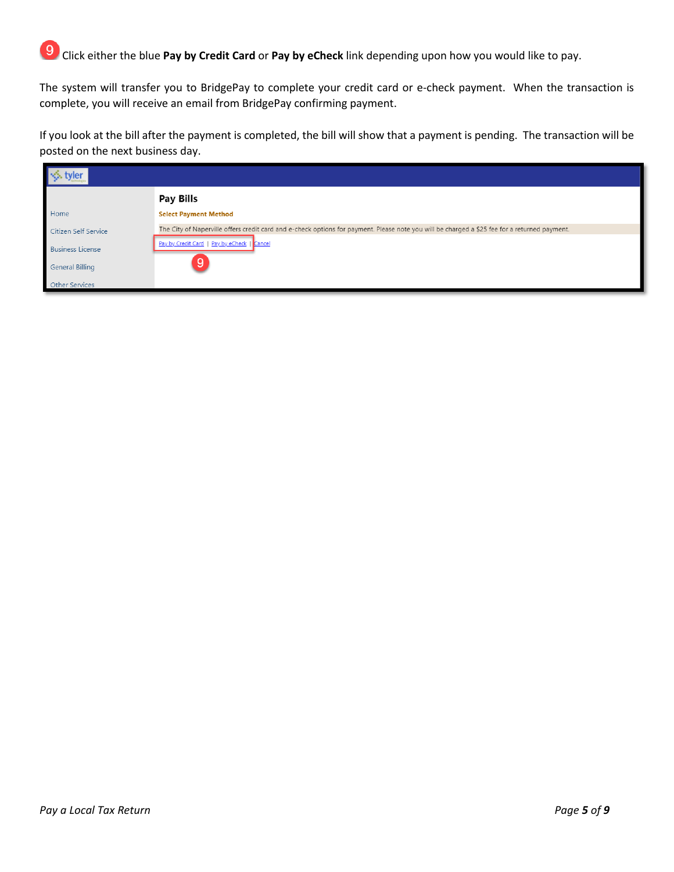Click either the blue **Pay by Credit Card** or **Pay by eCheck** link depending upon how you would like to pay.

The system will transfer you to BridgePay to complete your credit card or e-check payment. When the transaction is complete, you will receive an email from BridgePay confirming payment.

If you look at the bill after the payment is completed, the bill will show that a payment is pending. The transaction will be posted on the next business day.

| tvler                   |                                                                                                                                               |
|-------------------------|-----------------------------------------------------------------------------------------------------------------------------------------------|
|                         | Pay Bills                                                                                                                                     |
| Home                    | <b>Select Payment Method</b>                                                                                                                  |
| Citizen Self Service    | The City of Naperville offers credit card and e-check options for payment. Please note you will be charged a \$25 fee for a returned payment. |
| <b>Business License</b> | Pay by Credit Card   Pay by eCheck   Cancel                                                                                                   |
| <b>General Billing</b>  |                                                                                                                                               |
| Other Services          |                                                                                                                                               |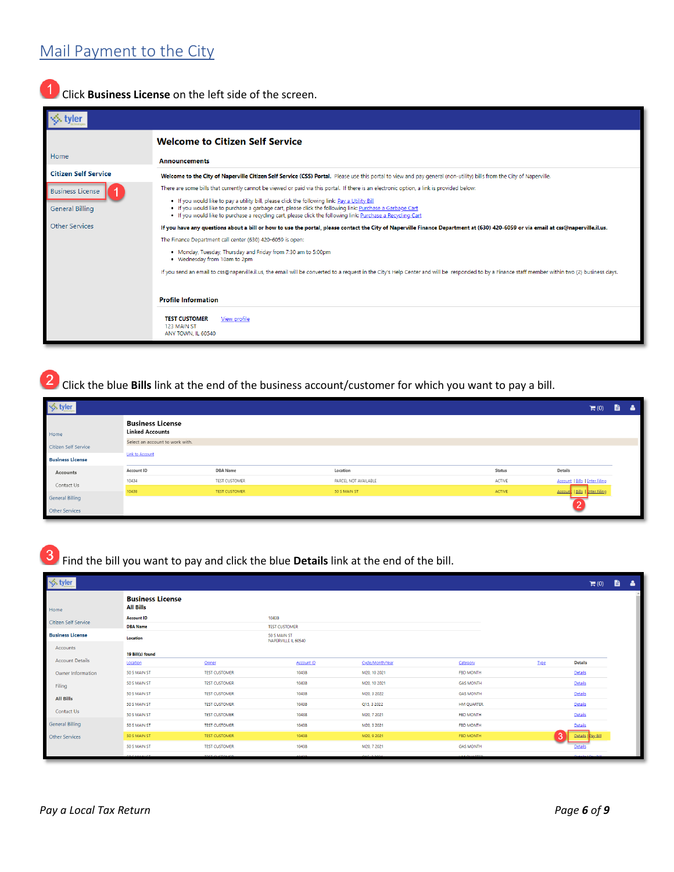### Click **Business License** on the left side of the screen.

|                             | <b>Welcome to Citizen Self Service</b>                                                                                                                                                                                                                                                                                     |
|-----------------------------|----------------------------------------------------------------------------------------------------------------------------------------------------------------------------------------------------------------------------------------------------------------------------------------------------------------------------|
| Home                        | <b>Announcements</b>                                                                                                                                                                                                                                                                                                       |
| <b>Citizen Self Service</b> | Welcome to the City of Naperville Citizen Self Service (CSS) Portal. Please use this portal to view and pay general (non-utility) bills from the City of Naperville.                                                                                                                                                       |
| <b>Business License</b>     | There are some bills that currently cannot be viewed or paid via this portal. If there is an electronic option, a link is provided below:                                                                                                                                                                                  |
| <b>General Billing</b>      | . If you would like to pay a utility bill, please click the following link: Pay a Utility Bill<br>. If you would like to purchase a garbage cart, please click the following link: Purchase a Garbage Cart<br>. If you would like to purchase a recycling cart, please click the following link: Purchase a Recycling Cart |
| <b>Other Services</b>       | If you have any questions about a bill or how to use the portal, please contact the City of Naperville Finance Department at (630) 420-6059 or via email at css@naperville.il.us.                                                                                                                                          |
|                             | The Finance Department call center (630) 420-6059 is open:                                                                                                                                                                                                                                                                 |
|                             | . Monday, Tuesday, Thursday and Friday from 7:30 am to 5:00pm<br>• Wednesday from 10am to 2pm                                                                                                                                                                                                                              |
|                             | If you send an email to css@naperville.il.us, the email will be converted to a request in the City's Help Center and will be responded to by a Finance staff member within two (2) business days.                                                                                                                          |
|                             | <b>Profile Information</b>                                                                                                                                                                                                                                                                                                 |
|                             | <b>TEST CUSTOMER</b><br>View profile<br>123 MAIN ST<br>ANY TOWN. IL 60540                                                                                                                                                                                                                                                  |

Click the blue **Bills** link at the end of the business account/customer for which you want to pay a bill.

| $\leq$ tyler            | $\mathbf{H}^{(0)}$                                |                      |                      |        |                                       |  |  |
|-------------------------|---------------------------------------------------|----------------------|----------------------|--------|---------------------------------------|--|--|
| Home                    | <b>Business License</b><br><b>Linked Accounts</b> |                      |                      |        |                                       |  |  |
| Citizen Self Service    | Select an account to work with.                   |                      |                      |        |                                       |  |  |
| <b>Business License</b> | <b>Link to Account</b>                            |                      |                      |        |                                       |  |  |
| Accounts                | Account ID                                        | <b>DBA</b> Name      | Location             | Status | Details                               |  |  |
| Contact Us              | 10434                                             | TEST CUSTOMER        | PARCEL NOT AVAILABLE | ACTIVE | <b>Account   Bills   Enter Filing</b> |  |  |
|                         | 10438                                             | <b>TEST CUSTOMER</b> | 50 S MAIN ST         | ACTIVE | Account   Bills   Inter Filing        |  |  |
| <b>General Billing</b>  |                                                   |                      |                      |        |                                       |  |  |
| Other Services          |                                                   |                      |                      |        |                                       |  |  |

Find the bill you want to pay and click the blue **Details** link at the end of the bill.

| $\leq$ tyler                |                                             |                         |                                     |              |                  |                                  |      |                    |  |
|-----------------------------|---------------------------------------------|-------------------------|-------------------------------------|--------------|------------------|----------------------------------|------|--------------------|--|
| Home                        | <b>Business License</b><br><b>All Bills</b> |                         |                                     |              |                  |                                  |      |                    |  |
| <b>Citizen Self Service</b> | <b>Account ID</b>                           |                         | 10438                               |              |                  |                                  |      |                    |  |
|                             | <b>DBA Name</b>                             |                         | <b>TEST CUSTOMER</b>                |              |                  |                                  |      |                    |  |
| <b>Business License</b>     | Location                                    |                         | 50 S MAIN ST<br>NAPERVILLE IL 60540 |              |                  |                                  |      |                    |  |
| Accounts                    | 19 Bill(s) found                            |                         |                                     |              |                  |                                  |      |                    |  |
| <b>Account Details</b>      | Location                                    | Owner                   |                                     | Account ID   | Cycle/Month/Year | Category                         | Type | <b>Details</b>     |  |
| Owner Information           | 50 S MAIN ST                                | <b>TEST CUSTOMER</b>    |                                     | 10438        | M20, 10 2021     | FBD MONTH                        |      | Details            |  |
| Filing                      | 50 S MAIN ST                                | <b>TEST CUSTOMER</b>    |                                     | 10438        | M20, 10 2021     | <b>GAS MONTH</b>                 |      | Details            |  |
| <b>All Bills</b>            | 50 S MAIN ST                                | <b>TEST CUSTOMER</b>    |                                     | 10438        | M20, 3 2022      | <b>GAS MONTH</b>                 |      | Details            |  |
|                             | 50 S MAIN ST                                | <b>TEST CUSTOMER</b>    |                                     | 10438        | Q15, 3 2022      | <b>HM QUARTER</b>                |      | Details            |  |
| Contact Us                  | 50 S MAIN ST                                | <b>TEST CUSTOMER</b>    |                                     | 10438        | M20, 7 2021      | <b>FBD MONTH</b>                 |      | Details            |  |
| <b>General Billing</b>      | 50 S MAIN ST                                | <b>TEST CUSTOMER</b>    |                                     | 10438        | M20, 3 2021      | <b>FBD MONTH</b>                 |      | Details            |  |
| Other Services              | 50 S MAIN ST                                | <b>TEST CUSTOMER</b>    |                                     | 10438        | M20, 9 2021      | <b>FBD MONTH</b>                 | 3    | Details   Pay Bill |  |
|                             | 50 S MAIN ST                                | <b>TEST CUSTOMER</b>    |                                     | 10438        | M20, 7 2021      | <b>GAS MONTH</b>                 |      | Details            |  |
|                             | .                                           | <b>MARK ALLOWAY ARE</b> |                                     | <b>CALLA</b> | ------           | <b><i><u>ALAMAN AREA</u></i></b> |      |                    |  |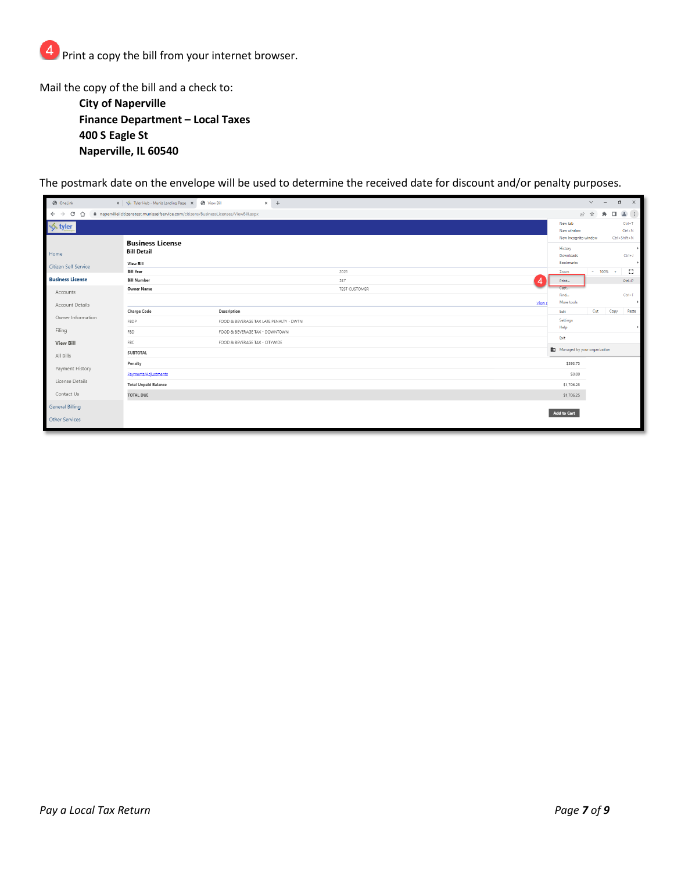

Mail the copy of the bill and a check to: **City of Naperville Finance Department – Local Taxes 400 S Eagle St Naperville, IL 60540**

The postmark date on the envelope will be used to determine the received date for discount and/or penalty purposes.

| <b>O</b> OneLink                                 | x   < Tyler Hub - Munis Landing Page X   @ View Bill                                    |                                         | $\times$ + |                      |        |                                               | $\vee$<br>$\sim$ | $\Box$       | $\times$                |
|--------------------------------------------------|-----------------------------------------------------------------------------------------|-----------------------------------------|------------|----------------------|--------|-----------------------------------------------|------------------|--------------|-------------------------|
| $\mathcal{C}$<br>≏<br>$\leftarrow$ $\rightarrow$ | A napervilleilcitizenstest.munisselfservice.com/citizens/BusinessLicenses/ViewBill.aspx |                                         |            |                      |        |                                               | ■ ☆              | キロ           | $2$ $\pm$               |
| $\leq$ tyler                                     |                                                                                         |                                         |            |                      |        | New tab<br>New window<br>New Incognito window |                  | Ctrl+Shift+N | $Ctrl+T$<br>$Ctrl + N$  |
| Home<br>Citizen Self Service                     | <b>Business License</b><br><b>Bill Detail</b><br><b>View Bill</b>                       |                                         |            |                      |        | History<br>Downloads<br>Bookmarks             |                  |              | $\ddot{}$<br>$Ctrl + J$ |
|                                                  | <b>Bill Year</b>                                                                        |                                         |            | 2021                 |        | Zoom                                          | $- 100%$         | <b>A</b>     | EB.                     |
| <b>Business License</b>                          | <b>Bill Number</b>                                                                      |                                         |            | 527                  |        | Print                                         |                  |              | $Ctrl + P$              |
| Accounts<br>Account Details                      | <b>Owner Name</b>                                                                       |                                         |            | <b>TEST CUSTOMER</b> | View p | Cast<br>Find<br>More tools                    |                  |              | $Ctrl + F$<br>×         |
|                                                  | <b>Charge Code</b>                                                                      | Description                             |            |                      |        | Edit                                          | Cut              | Copy         | Paste                   |
| Owner Information                                | FBDP                                                                                    | FOOD & BEVERAGE TAX LATE PENALTY - DWTN |            |                      |        | Settings                                      |                  |              |                         |
| Filing                                           | FBD                                                                                     | FOOD & BEVERAGE TAX - DOWNTOWN          |            |                      |        | Help                                          |                  |              |                         |
| <b>View Bill</b>                                 | FBC                                                                                     | FOOD & BEVERAGE TAX - CITYWIDE          |            |                      |        | Exit                                          |                  |              |                         |
| All Bills                                        | <b>SUBTOTAL</b>                                                                         |                                         |            |                      |        | Managed by your organization                  |                  |              |                         |
|                                                  | Penalty                                                                                 |                                         |            |                      |        | \$393.75                                      |                  |              |                         |
| Payment History                                  | Payments/Adjustments                                                                    |                                         |            |                      |        | \$0.00                                        |                  |              |                         |
| License Details                                  | <b>Total Unpaid Balance</b>                                                             |                                         |            |                      |        | \$1,706.25                                    |                  |              |                         |
| Contact Us                                       | <b>TOTAL DUE</b>                                                                        |                                         |            |                      |        | \$1,706.25                                    |                  |              |                         |
| <b>General Billing</b>                           |                                                                                         |                                         |            |                      |        |                                               |                  |              |                         |
| <b>Other Services</b>                            |                                                                                         |                                         |            |                      |        | Add to Cart                                   |                  |              |                         |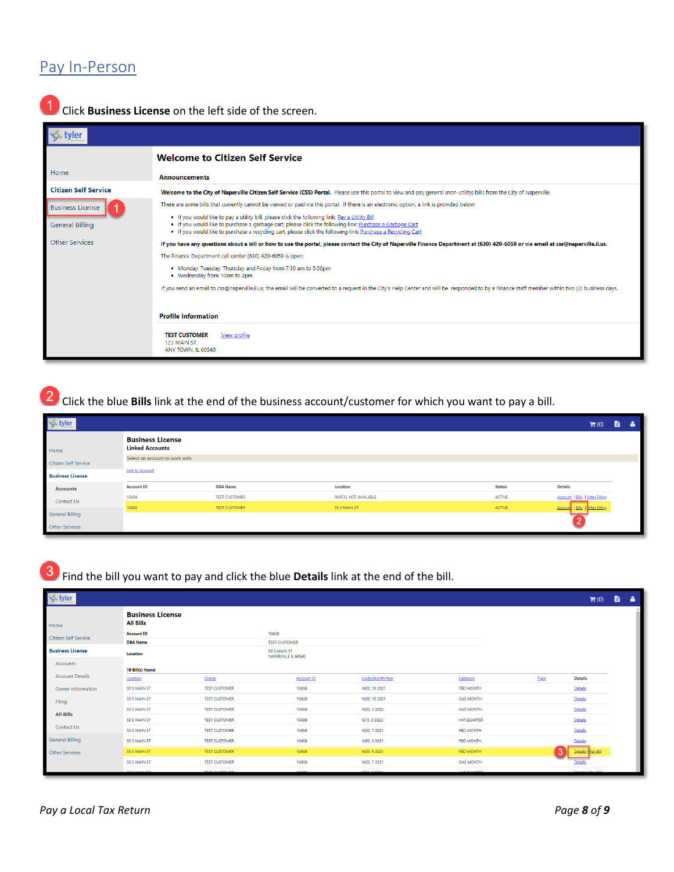#### Pay In-Person



**1** Click **Business License** on the left side of the screen.

|                             | <b>Welcome to Citizen Self Service</b>                                                                                                                                                                                                                                                                                     |  |  |  |  |  |  |
|-----------------------------|----------------------------------------------------------------------------------------------------------------------------------------------------------------------------------------------------------------------------------------------------------------------------------------------------------------------------|--|--|--|--|--|--|
| Home                        | <b>Announcements</b>                                                                                                                                                                                                                                                                                                       |  |  |  |  |  |  |
| <b>Citizen Self Service</b> | Welcome to the City of Naperville Citizen Self Service (CSS) Portal. Please use this portal to view and pay general (non-utility) bills from the City of Naperville.                                                                                                                                                       |  |  |  |  |  |  |
| <b>Business License</b>     | There are some bills that currently cannot be viewed or paid via this portal. If there is an electronic option, a link is provided below:                                                                                                                                                                                  |  |  |  |  |  |  |
| <b>General Billing</b>      | . If you would like to pay a utility bill, please click the following link: Pay a Utility Bill<br>. If you would like to purchase a garbage cart, please click the following link: Purchase a Garbage Cart<br>. If you would like to purchase a recycling cart, please click the following link: Purchase a Recycling Cart |  |  |  |  |  |  |
| <b>Other Services</b>       | If you have any questions about a bill or how to use the portal, please contact the City of Naperville Finance Department at (630) 420-6059 or via email at css@naperville.il.us.                                                                                                                                          |  |  |  |  |  |  |
|                             | The Finance Department call center (630) 420-6059 is open:                                                                                                                                                                                                                                                                 |  |  |  |  |  |  |
|                             | • Monday, Tuesday, Thursday and Friday from 7:30 am to 5:00pm<br>• Wednesday from 10am to 2pm                                                                                                                                                                                                                              |  |  |  |  |  |  |
|                             | If you send an email to css@naperville.il.us, the email will be converted to a request in the City's Help Center and will be responded to by a Finance staff member within two (2) business days.                                                                                                                          |  |  |  |  |  |  |
|                             | <b>Profile Information</b>                                                                                                                                                                                                                                                                                                 |  |  |  |  |  |  |
|                             | <b>TEST CUSTOMER</b><br>View profile<br>123 MAIN ST<br>ANY TOWN. IL 60540                                                                                                                                                                                                                                                  |  |  |  |  |  |  |

Click the blue **Bills** link at the end of the business account/customer for which you want to pay a bill.

| <b>√</b> styler         |                                                   |                      |                      |        | $\blacksquare$ (0)                    | ê. | -8 |  |  |
|-------------------------|---------------------------------------------------|----------------------|----------------------|--------|---------------------------------------|----|----|--|--|
| Home                    | <b>Business License</b><br><b>Linked Accounts</b> |                      |                      |        |                                       |    |    |  |  |
| Citizen Self Service    | Select an account to work with.                   |                      |                      |        |                                       |    |    |  |  |
| <b>Business License</b> | <b>Link to Account</b>                            |                      |                      |        |                                       |    |    |  |  |
| Accounts                | Account ID                                        | <b>DBA</b> Name      | Location             | Status | Details                               |    |    |  |  |
| Contact Us              | 10434                                             | TEST CUSTOMER        | PARCEL NOT AVAILABLE | ACTIVE | <b>Account   Bills   Enter Filing</b> |    |    |  |  |
|                         | 10438                                             | <b>TEST CUSTOMER</b> | 50 S MAIN ST         | ACTIVE | Account   Bills   Inter Filing        |    |    |  |  |
| <b>General Billing</b>  |                                                   |                      |                      |        |                                       |    |    |  |  |
| Other Services          |                                                   |                      |                      |        |                                       |    |    |  |  |

Find the bill you want to pay and click the blue **Details** link at the end of the bill.

| S tyler ↓               |                                             |                       |                                     |                   |                  |                        |             | $\mathbb{H}(0)$    | B. | - 4 |
|-------------------------|---------------------------------------------|-----------------------|-------------------------------------|-------------------|------------------|------------------------|-------------|--------------------|----|-----|
| Home                    | <b>Business License</b><br><b>All Bills</b> |                       |                                     |                   |                  |                        |             |                    |    |     |
| Citizen Self Service    | <b>Account ID</b>                           |                       | 10438                               |                   |                  |                        |             |                    |    |     |
|                         | <b>DBA Name</b>                             | <b>TEST CUSTOMER</b>  |                                     |                   |                  |                        |             |                    |    |     |
| <b>Business License</b> | Location                                    |                       | 50 S MAIN ST<br>NAPERVILLE IL 60540 |                   |                  |                        |             |                    |    |     |
| Accounts                | 19 Bill(s) found                            |                       |                                     |                   |                  |                        |             |                    |    |     |
| <b>Account Details</b>  | Location                                    | Owner                 |                                     | <b>Account ID</b> | Cycle/Month/Year | Category               | <b>Type</b> | <b>Details</b>     |    |     |
| Owner Information       | 50 S MAIN ST                                | <b>TEST CUSTOMER</b>  |                                     | 10438             | M20, 10 2021     | <b>FBD MONTH</b>       |             | Details            |    |     |
| Filing                  | 50 S MAIN ST                                | <b>TEST CUSTOMER</b>  |                                     | 10438             | M20, 10 2021     | <b>GAS MONTH</b>       |             | Details            |    |     |
| <b>All Bills</b>        | 50 S MAIN ST                                | <b>TEST CUSTOMER</b>  |                                     | 10438             | M20, 3 2022      | <b>GAS MONTH</b>       |             | Details            |    |     |
|                         | 50 S MAIN ST                                | <b>TEST CUSTOMER</b>  |                                     | 10438             | Q15, 3 2022      | <b>HM QUARTER</b>      |             | Details            |    |     |
| Contact Us              | 50 S MAIN ST                                | <b>TEST CUSTOMER</b>  |                                     | 10438             | M20, 7 2021      | <b>FBD MONTH</b>       |             | Details            |    |     |
| <b>General Billing</b>  | 50 S MAIN ST                                | <b>TEST CUSTOMER</b>  |                                     | 10438             | M20, 3 2021      | <b>FBD MONTH</b>       |             | Details            |    |     |
| <b>Other Services</b>   | 50 S MAIN ST                                | <b>TEST CUSTOMER</b>  |                                     | 10438             | M20, 9 2021      | <b>FBD MONTH</b>       | ıз          | Details   Pay Bill |    |     |
|                         | 50 S MAIN ST                                | <b>TEST CUSTOMER</b>  |                                     | 10438             | M20, 7 2021      | <b>GAS MONTH</b>       |             | Details            |    |     |
|                         | <b>COCASSINATI</b>                          | <b>TECT CURTISITS</b> |                                     | 0.0000            | O(17.2003)       | <b>IN A CALLA DECO</b> |             | <b>COMMERCIAL</b>  |    |     |